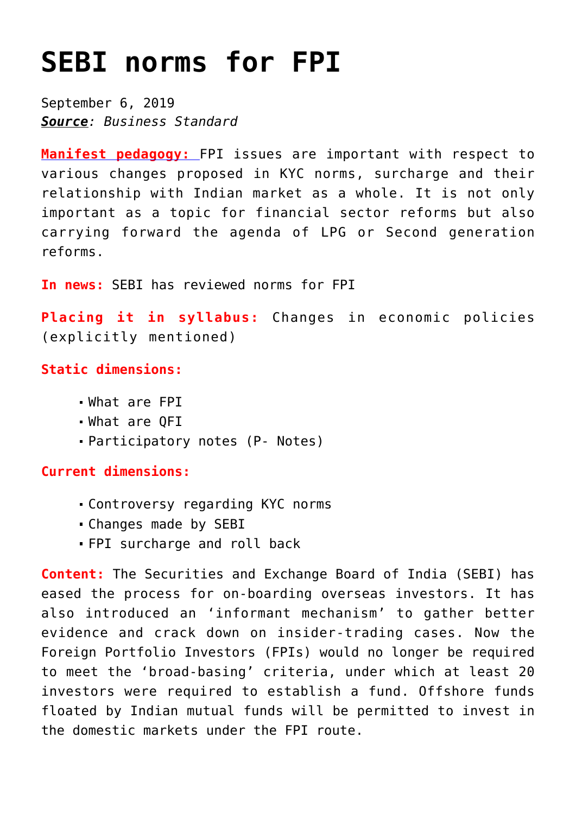# **[SEBI norms for FPI](https://journalsofindia.com/sebi-norms-for-fpi/)**

September 6, 2019 *Source: Business Standard*

**[Manifest pedagogy:](https://www.manifestias.com/2018/11/05/manifest-pedagogy-looking-beyond-the-issue/)** FPI issues are important with respect to various changes proposed in KYC norms, surcharge and their relationship with Indian market as a whole. It is not only important as a topic for financial sector reforms but also carrying forward the agenda of LPG or Second generation reforms.

**In news:** SEBI has reviewed norms for FPI

**Placing it in syllabus:** Changes in economic policies (explicitly mentioned)

## **Static dimensions:**

- What are FPI
- What are QFI
- Participatory notes (P- Notes)

## **Current dimensions:**

- Controversy regarding KYC norms
- Changes made by SEBI
- FPI surcharge and roll back

**Content:** The Securities and Exchange Board of India (SEBI) has eased the process for on-boarding overseas investors. It has also introduced an 'informant mechanism' to gather better evidence and crack down on insider-trading cases. Now the Foreign Portfolio Investors (FPIs) would no longer be required to meet the 'broad-basing' criteria, under which at least 20 investors were required to establish a fund. Offshore funds floated by Indian mutual funds will be permitted to invest in the domestic markets under the FPI route.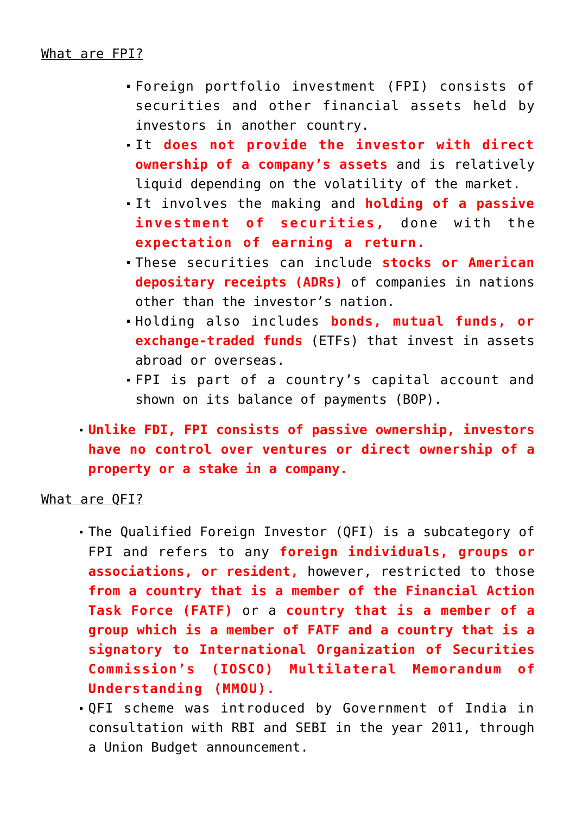## What are FPI?

- Foreign portfolio investment (FPI) consists of securities and other financial assets held by investors in another country.
- It **does not provide the investor with direct ownership of a company's assets** and is relatively liquid depending on the volatility of the market.
- It involves the making and **holding of a passive investment of securities,** done with the **expectation of earning a return.**
- These securities can include **stocks or American depositary receipts (ADRs)** of companies in nations other than the investor's nation.
- Holding also includes **bonds, mutual funds, or exchange-traded funds** (ETFs) that invest in assets abroad or overseas.
- FPI is part of a country's capital account and shown on its balance of payments (BOP).
- **Unlike FDI, FPI consists of passive ownership, investors have no control over ventures or direct ownership of a property or a stake in a company.**

### What are QFI?

- The Qualified Foreign Investor (QFI) is a subcategory of FPI and refers to any **foreign individuals, groups or associations, or resident,** however, restricted to those **from a country that is a member of the Financial Action Task Force (FATF)** or a **country that is a member of a group which is a member of FATF and a country that is a signatory to International Organization of Securities Commission's (IOSCO) Multilateral Memorandum of Understanding (MMOU).**
- QFI scheme was introduced by Government of India in consultation with RBI and SEBI in the year 2011, through a Union Budget announcement.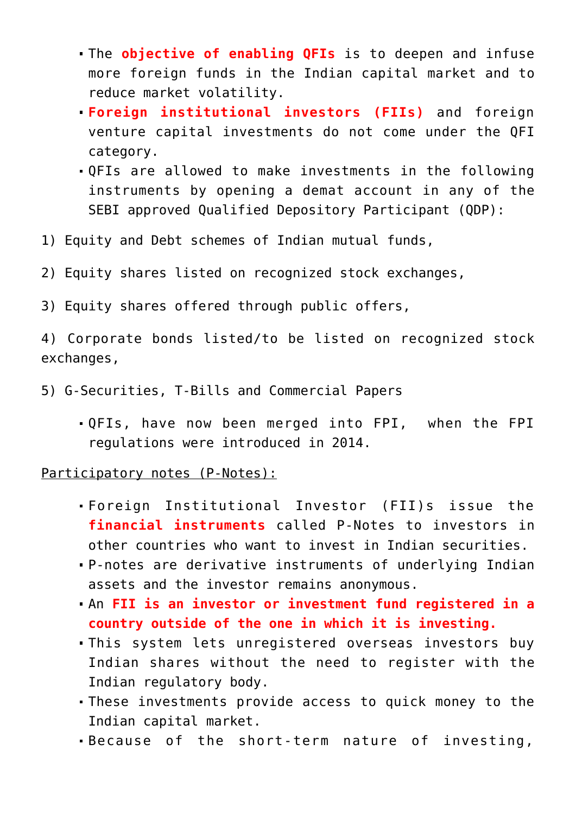- The **objective of enabling QFIs** is to deepen and infuse more foreign funds in the Indian capital market and to reduce market volatility.
- **Foreign institutional investors (FIIs)** and foreign venture capital investments do not come under the QFI category.
- QFIs are allowed to make investments in the following instruments by opening a demat account in any of the SEBI approved Qualified Depository Participant (QDP):
- 1) Equity and Debt schemes of Indian mutual funds,
- 2) Equity shares listed on recognized stock exchanges,
- 3) Equity shares offered through public offers,

4) Corporate bonds listed/to be listed on recognized stock exchanges,

- 5) G-Securities, T-Bills and Commercial Papers
	- QFIs, have now been merged into FPI, when the FPI regulations were introduced in 2014.

Participatory notes (P-Notes):

- Foreign Institutional Investor (FII)s issue the **financial instruments** called P-Notes to investors in other countries who want to invest in Indian securities.
- P-notes are derivative instruments of underlying Indian assets and the investor remains anonymous.
- An **FII is an investor or investment fund registered in a country outside of the one in which it is investing.**
- This system lets unregistered overseas investors buy Indian shares without the need to register with the Indian regulatory body.
- These investments provide access to quick money to the Indian capital market.
- Because of the short-term nature of investing,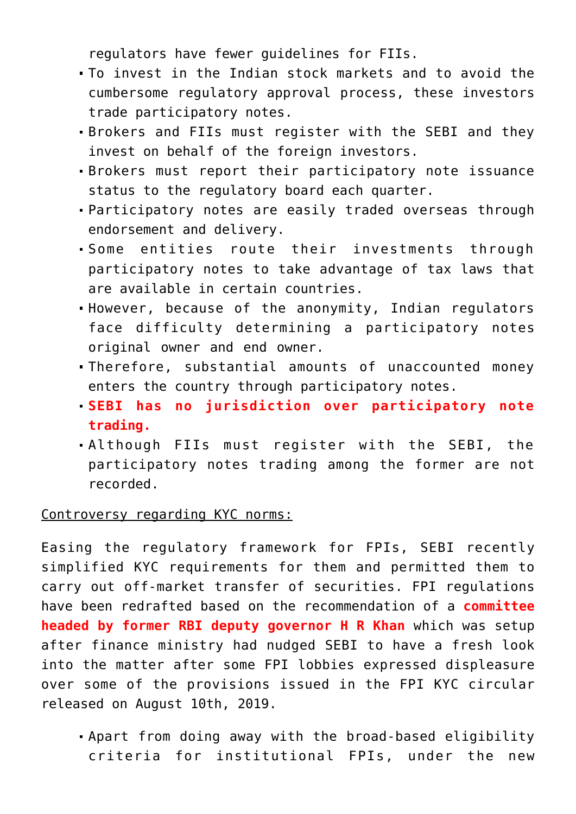regulators have fewer guidelines for FIIs.

- To invest in the Indian stock markets and to avoid the cumbersome regulatory approval process, these investors trade participatory notes.
- Brokers and FIIs must register with the SEBI and they invest on behalf of the foreign investors.
- Brokers must report their participatory note issuance status to the regulatory board each quarter.
- Participatory notes are easily traded overseas through endorsement and delivery.
- Some entities route their investments through participatory notes to take advantage of tax laws that are available in certain countries.
- However, because of the anonymity, Indian regulators face difficulty determining a participatory notes original owner and end owner.
- Therefore, substantial amounts of unaccounted money enters the country through participatory notes.
- **SEBI has no jurisdiction over participatory note trading.**
- Although FIIs must register with the SEBI, the participatory notes trading among the former are not recorded.

Controversy regarding KYC norms:

Easing the regulatory framework for FPIs, SEBI recently simplified KYC requirements for them and permitted them to carry out off-market transfer of securities. FPI regulations have been redrafted based on the recommendation of a **committee headed by former RBI deputy governor H R Khan** which was setup after finance ministry had nudged SEBI to have a fresh look into the matter after some FPI lobbies expressed displeasure over some of the provisions issued in the FPI KYC circular released on August 10th, 2019.

Apart from doing away with the broad-based eligibility criteria for institutional FPIs, under the new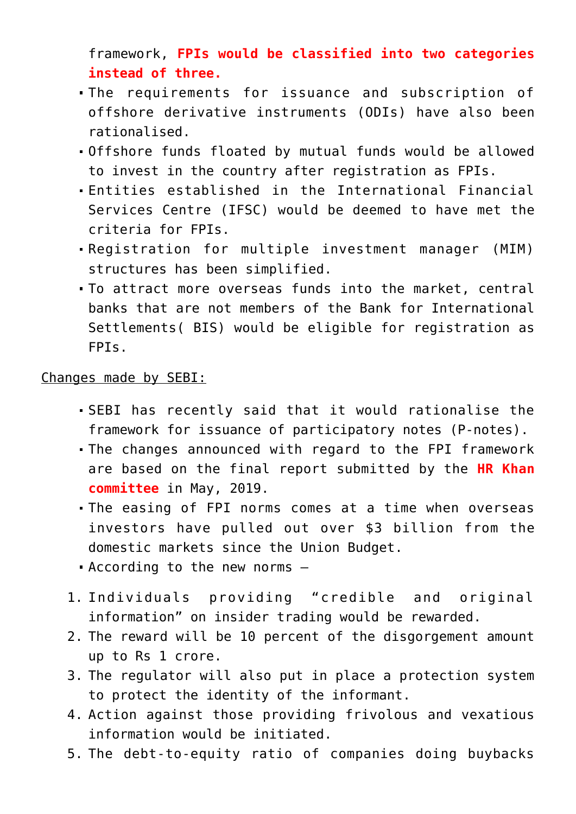framework, **FPIs would be classified into two categories instead of three.**

- The requirements for issuance and subscription of offshore derivative instruments (ODIs) have also been rationalised.
- Offshore funds floated by mutual funds would be allowed to invest in the country after registration as FPIs.
- Entities established in the International Financial Services Centre (IFSC) would be deemed to have met the criteria for FPIs.
- Registration for multiple investment manager (MIM) structures has been simplified.
- To attract more overseas funds into the market, central banks that are not members of the Bank for International Settlements( BIS) would be eligible for registration as FPIs.

### Changes made by SEBI:

- SEBI has recently said that it would rationalise the framework for issuance of participatory notes (P-notes).
- The changes announced with regard to the FPI framework are based on the final report submitted by the **HR Khan committee** in May, 2019.
- The easing of FPI norms comes at a time when overseas investors have pulled out over \$3 billion from the domestic markets since the Union Budget.
- According to the new norms –
- 1. Individuals providing "credible and original information" on insider trading would be rewarded.
- 2. The reward will be 10 percent of the disgorgement amount up to Rs 1 crore.
- 3. The regulator will also put in place a protection system to protect the identity of the informant.
- 4. Action against those providing frivolous and vexatious information would be initiated.
- 5. The debt-to-equity ratio of companies doing buybacks